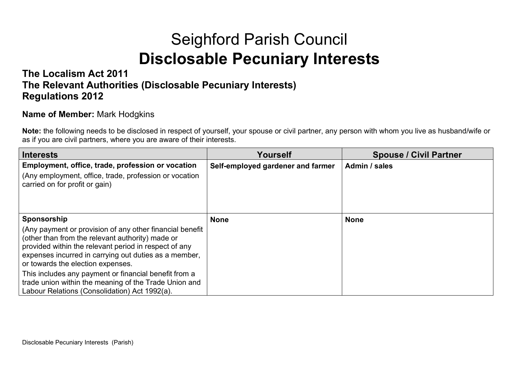## Seighford Parish Council **Disclosable Pecuniary Interests**

#### **The Localism Act 2011 The Relevant Authorities (Disclosable Pecuniary Interests) Regulations 2012**

#### **Name of Member:** Mark Hodgkins

**Note:** the following needs to be disclosed in respect of yourself, your spouse or civil partner, any person with whom you live as husband/wife or as if you are civil partners, where you are aware of their interests.

| Interests                                                                                                                                                                                                                                                           | Yourself                          | <b>Spouse / Civil Partner</b> |
|---------------------------------------------------------------------------------------------------------------------------------------------------------------------------------------------------------------------------------------------------------------------|-----------------------------------|-------------------------------|
| Employment, office, trade, profession or vocation                                                                                                                                                                                                                   | Self-employed gardener and farmer | Admin / sales                 |
| (Any employment, office, trade, profession or vocation<br>carried on for profit or gain)                                                                                                                                                                            |                                   |                               |
| Sponsorship                                                                                                                                                                                                                                                         | <b>None</b>                       | <b>None</b>                   |
| (Any payment or provision of any other financial benefit<br>(other than from the relevant authority) made or<br>provided within the relevant period in respect of any<br>expenses incurred in carrying out duties as a member,<br>or towards the election expenses. |                                   |                               |
| This includes any payment or financial benefit from a<br>trade union within the meaning of the Trade Union and<br>Labour Relations (Consolidation) Act 1992(a).                                                                                                     |                                   |                               |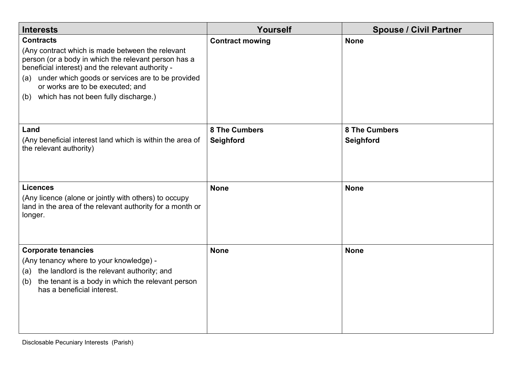| <b>Interests</b>                                                                                                                                                                                                                                                                                                                | Yourself                          | <b>Spouse / Civil Partner</b>     |
|---------------------------------------------------------------------------------------------------------------------------------------------------------------------------------------------------------------------------------------------------------------------------------------------------------------------------------|-----------------------------------|-----------------------------------|
| <b>Contracts</b><br>(Any contract which is made between the relevant<br>person (or a body in which the relevant person has a<br>beneficial interest) and the relevant authority -<br>under which goods or services are to be provided<br>(a)<br>or works are to be executed; and<br>which has not been fully discharge.)<br>(b) | <b>Contract mowing</b>            | <b>None</b>                       |
| Land<br>(Any beneficial interest land which is within the area of<br>the relevant authority)                                                                                                                                                                                                                                    | <b>8 The Cumbers</b><br>Seighford | <b>8 The Cumbers</b><br>Seighford |
| <b>Licences</b><br>(Any licence (alone or jointly with others) to occupy<br>land in the area of the relevant authority for a month or<br>longer.                                                                                                                                                                                | <b>None</b>                       | <b>None</b>                       |
| <b>Corporate tenancies</b><br>(Any tenancy where to your knowledge) -<br>(a) the landlord is the relevant authority; and<br>the tenant is a body in which the relevant person<br>(b)<br>has a beneficial interest.                                                                                                              | <b>None</b>                       | <b>None</b>                       |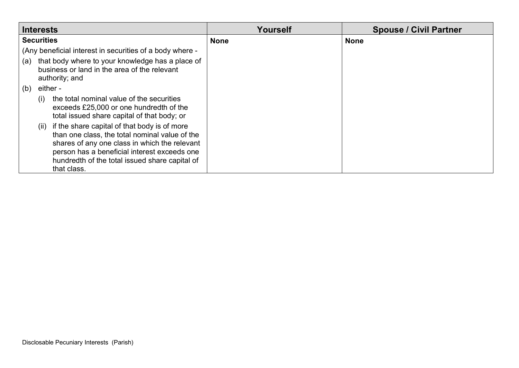| <b>Interests</b>                                                                                                                                                                                                                                                         | Yourself    | <b>Spouse / Civil Partner</b> |
|--------------------------------------------------------------------------------------------------------------------------------------------------------------------------------------------------------------------------------------------------------------------------|-------------|-------------------------------|
| <b>Securities</b>                                                                                                                                                                                                                                                        | <b>None</b> | <b>None</b>                   |
| (Any beneficial interest in securities of a body where -                                                                                                                                                                                                                 |             |                               |
| that body where to your knowledge has a place of<br>(a)<br>business or land in the area of the relevant<br>authority; and                                                                                                                                                |             |                               |
| (b)<br>either -                                                                                                                                                                                                                                                          |             |                               |
| the total nominal value of the securities<br>(i)<br>exceeds £25,000 or one hundredth of the<br>total issued share capital of that body; or                                                                                                                               |             |                               |
| if the share capital of that body is of more<br>(ii)<br>than one class, the total nominal value of the<br>shares of any one class in which the relevant<br>person has a beneficial interest exceeds one<br>hundredth of the total issued share capital of<br>that class. |             |                               |